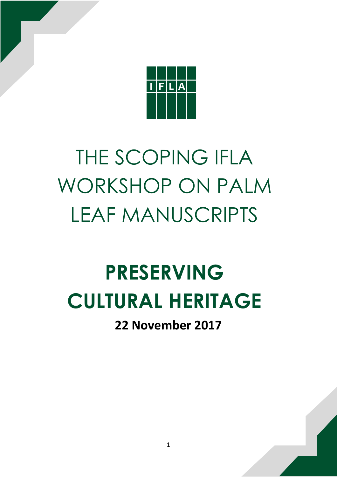

# THE SCOPING IFLA WORKSHOP ON PALM LEAF MANUSCRIPTS

# **PRESERVING CULTURAL HERITAGE**

**22 November 2017**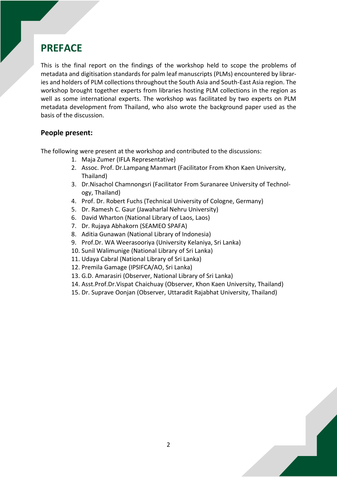# **PREFACE**

This is the final report on the findings of the workshop held to scope the problems of metadata and digitisation standards for palm leaf manuscripts (PLMs) encountered by libraries and holders of PLM collections throughout the South Asia and South-East Asia region. The workshop brought together experts from libraries hosting PLM collections in the region as well as some international experts. The workshop was facilitated by two experts on PLM metadata development from Thailand, who also wrote the background paper used as the basis of the discussion.

#### **People present:**

The following were present at the workshop and contributed to the discussions:

- 1. Maja Zumer (IFLA Representative)
- 2. Assoc. Prof. Dr.Lampang Manmart (Facilitator From Khon Kaen University, Thailand)
- 3. Dr.Nisachol Chamnongsri (Facilitator From Suranaree University of Technology, Thailand)
- 4. Prof. Dr. Robert Fuchs (Technical University of Cologne, Germany)
- 5. Dr. Ramesh C. Gaur (Jawaharlal Nehru University)
- 6. David Wharton (National Library of Laos, Laos)
- 7. Dr. Rujaya Abhakorn (SEAMEO SPAFA)
- 8. Aditia Gunawan (National Library of Indonesia)
- 9. Prof.Dr. WA Weerasooriya (University Kelaniya, Sri Lanka)
- 10. Sunil Walimunige (National Library of Sri Lanka)
- 11. Udaya Cabral (National Library of Sri Lanka)
- 12. Premila Gamage (IPSIFCA/AO, Sri Lanka)
- 13. G.D. Amarasiri (Observer, National Library of Sri Lanka)
- 14. Asst.Prof.Dr.Vispat Chaichuay (Observer, Khon Kaen University, Thailand)
- 15. Dr. Suprave Oonjan (Observer, Uttaradit Rajabhat University, Thailand)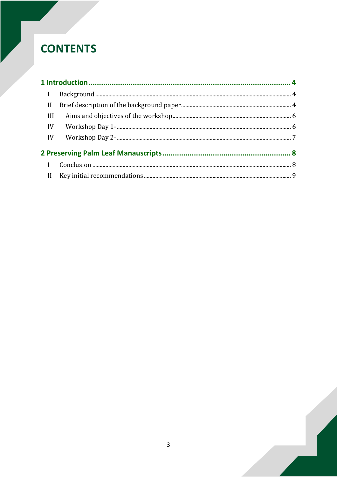# **CONTENTS**

| $\mathbf{I}$ |  |
|--------------|--|
| II           |  |
| III          |  |
| IV           |  |
| IV           |  |
|              |  |
| $\mathbf{I}$ |  |
|              |  |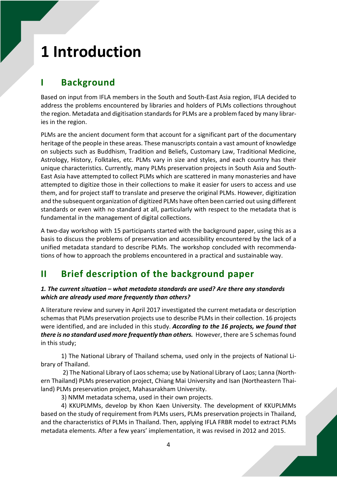# <span id="page-3-0"></span>**1 Introduction**

# <span id="page-3-1"></span>**I Background**

Based on input from IFLA members in the South and South-East Asia region, IFLA decided to address the problems encountered by libraries and holders of PLMs collections throughout the region. Metadata and digitisation standards for PLMs are a problem faced by many libraries in the region.

PLMs are the ancient document form that account for a significant part of the documentary heritage of the people in these areas. These manuscripts contain a vast amount of knowledge on subjects such as Buddhism, Tradition and Beliefs, Customary Law, Traditional Medicine, Astrology, History, Folktales, etc. PLMs vary in size and styles, and each country has their unique characteristics. Currently, many PLMs preservation projects in South Asia and South-East Asia have attempted to collect PLMs which are scattered in many monasteries and have attempted to digitize those in their collections to make it easier for users to access and use them, and for project staff to translate and preserve the original PLMs. However, digitization and the subsequent organization of digitized PLMs have often been carried out using different standards or even with no standard at all, particularly with respect to the metadata that is fundamental in the management of digital collections.

A two-day workshop with 15 participants started with the background paper, using this as a basis to discuss the problems of preservation and accessibility encountered by the lack of a unified metadata standard to describe PLMs. The workshop concluded with recommendations of how to approach the problems encountered in a practical and sustainable way.

# <span id="page-3-2"></span>**II Brief description of the background paper**

#### *1. The current situation – what metadata standards are used? Are there any standards which are already used more frequently than others?*

A literature review and survey in April 2017 investigated the current metadata or description schemas that PLMs preservation projects use to describe PLMs in their collection. 16 projects were identified, and are included in this study. *According to the 16 projects, we found that there is no standard used more frequently than others.* However, there are 5 schemasfound in this study;

 1) The National Library of Thailand schema, used only in the projects of National Library of Thailand.

 2) The National Library of Laos schema; use by National Library of Laos; Lanna (Northern Thailand) PLMs preservation project, Chiang Mai University and Isan (Northeastern Thailand) PLMs preservation project, Mahasarakham University.

3) NMM metadata schema, used in their own projects.

 4) KKUPLMMs, develop by Khon Kaen University. The development of KKUPLMMs based on the study of requirement from PLMs users, PLMs preservation projects in Thailand, and the characteristics of PLMs in Thailand. Then, applying IFLA FRBR model to extract PLMs metadata elements. After a few years' implementation, it was revised in 2012 and 2015.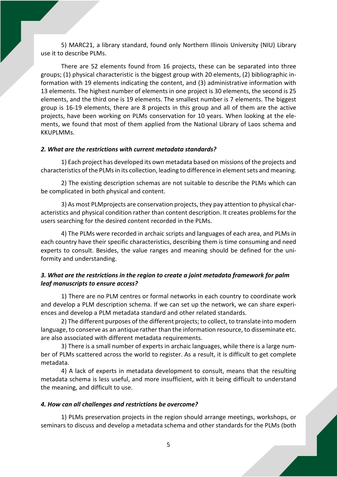5) MARC21, a library standard, found only Northern Illinois University (NIU) Library use it to describe PLMs.

 There are 52 elements found from 16 projects, these can be separated into three groups; (1) physical characteristic is the biggest group with 20 elements, (2) bibliographic information with 19 elements indicating the content, and (3) administrative information with 13 elements. The highest number of elements in one project is 30 elements, the second is 25 elements, and the third one is 19 elements. The smallest number is 7 elements. The biggest group is 16-19 elements, there are 8 projects in this group and all of them are the active projects, have been working on PLMs conservation for 10 years. When looking at the elements, we found that most of them applied from the National Library of Laos schema and KKUPLMMs.

#### *2. What are the restrictions with current metadata standards?*

1) Each project has developed its own metadata based on missions of the projects and characteristics of the PLMs in its collection, leading to difference in element sets and meaning.

2) The existing description schemas are not suitable to describe the PLMs which can be complicated in both physical and content.

3) As most PLMprojects are conservation projects, they pay attention to physical characteristics and physical condition rather than content description. It creates problemsfor the users searching for the desired content recorded in the PLMs.

4) The PLMs were recorded in archaic scripts and languages of each area, and PLMs in each country have their specific characteristics, describing them is time consuming and need experts to consult. Besides, the value ranges and meaning should be defined for the uniformity and understanding.

#### *3. What are the restrictions in the region to create a joint metadata framework for palm leaf manuscripts to ensure access?*

1) There are no PLM centres or formal networks in each country to coordinate work and develop a PLM description schema. If we can set up the network, we can share experiences and develop a PLM metadata standard and other related standards.

2) The different purposes of the different projects; to collect, to translate into modern language, to conserve as an antique rather than the information resource, to disseminate etc. are also associated with different metadata requirements.

3) There is a small number of experts in archaic languages, while there is a large number of PLMs scattered across the world to register. As a result, it is difficult to get complete metadata.

4) A lack of experts in metadata development to consult, means that the resulting metadata schema is less useful, and more insufficient, with it being difficult to understand the meaning, and difficult to use.

#### *4. How can all challenges and restrictions be overcome?*

1) PLMs preservation projects in the region should arrange meetings, workshops, or seminars to discuss and develop a metadata schema and other standards for the PLMs (both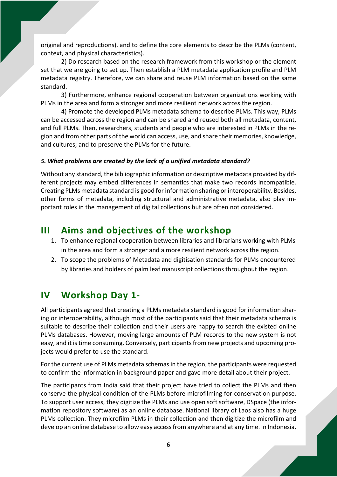original and reproductions), and to define the core elements to describe the PLMs (content, context, and physical characteristics).

2) Do research based on the research framework from this workshop or the element set that we are going to set up. Then establish a PLM metadata application profile and PLM metadata registry. Therefore, we can share and reuse PLM information based on the same standard.

3) Furthermore, enhance regional cooperation between organizations working with PLMs in the area and form a stronger and more resilient network across the region.

4) Promote the developed PLMs metadata schema to describe PLMs. This way, PLMs can be accessed across the region and can be shared and reused both all metadata, content, and full PLMs. Then, researchers, students and people who are interested in PLMs in the region and from other parts of the world can access, use, and share their memories, knowledge, and cultures; and to preserve the PLMs for the future.

#### *5. What problems are created by the lack of a unified metadata standard?*

Without any standard, the bibliographic information or descriptive metadata provided by different projects may embed differences in semantics that make two records incompatible. Creating PLMs metadata standard is good for information sharing or interoperability. Besides, other forms of metadata, including structural and administrative metadata, also play important roles in the management of digital collections but are often not considered.

### <span id="page-5-0"></span>**III Aims and objectives of the workshop**

- 1. To enhance regional cooperation between libraries and librarians working with PLMs in the area and form a stronger and a more resilient network across the region.
- 2. To scope the problems of Metadata and digitisation standards for PLMs encountered by libraries and holders of palm leaf manuscript collections throughout the region.

## <span id="page-5-1"></span>**IV Workshop Day 1-**

All participants agreed that creating a PLMs metadata standard is good for information sharing or interoperability, although most of the participants said that their metadata schema is suitable to describe their collection and their users are happy to search the existed online PLMs databases. However, moving large amounts of PLM records to the new system is not easy, and it is time consuming. Conversely, participants from new projects and upcoming projects would prefer to use the standard.

For the current use of PLMs metadata schemas in the region, the participants were requested to confirm the information in background paper and gave more detail about their project.

The participants from India said that their project have tried to collect the PLMs and then conserve the physical condition of the PLMs before microfilming for conservation purpose. To support user access, they digitize the PLMs and use open soft software, DSpace (the information repository software) as an online database. National library of Laos also has a huge PLMs collection. They microfilm PLMs in their collection and then digitize the microfilm and develop an online database to allow easy accessfrom anywhere and at any time. In Indonesia,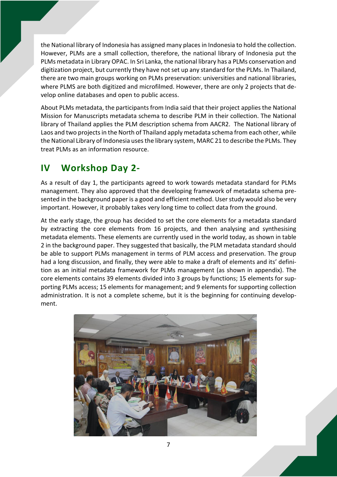the National library of Indonesia has assigned many placesin Indonesia to hold the collection. However, PLMs are a small collection, therefore, the national library of Indonesia put the PLMs metadata in Library OPAC. In Sri Lanka, the national library has a PLMs conservation and digitization project, but currently they have notset up any standard for the PLMs. In Thailand, there are two main groups working on PLMs preservation: universities and national libraries, where PLMS are both digitized and microfilmed. However, there are only 2 projects that develop online databases and open to public access.

About PLMs metadata, the participants from India said that their project applies the National Mission for Manuscripts metadata schema to describe PLM in their collection. The National library of Thailand applies the PLM description schema from AACR2. The National library of Laos and two projects in the North of Thailand apply metadata schema from each other, while the National Library of Indonesia usesthe library system, MARC 21 to describe the PLMs. They treat PLMs as an information resource.

## <span id="page-6-0"></span>**IV Workshop Day 2-**

As a result of day 1, the participants agreed to work towards metadata standard for PLMs management. They also approved that the developing framework of metadata schema presented in the background paper is a good and efficient method. User study would also be very important. However, it probably takes very long time to collect data from the ground.

At the early stage, the group has decided to set the core elements for a metadata standard by extracting the core elements from 16 projects, and then analysing and synthesising metadata elements. These elements are currently used in the world today, as shown in table 2 in the background paper. They suggested that basically, the PLM metadata standard should be able to support PLMs management in terms of PLM access and preservation. The group had a long discussion, and finally, they were able to make a draft of elements and its' definition as an initial metadata framework for PLMs management (as shown in appendix). The core elements contains 39 elements divided into 3 groups by functions; 15 elements for supporting PLMs access; 15 elements for management; and 9 elements for supporting collection administration. It is not a complete scheme, but it is the beginning for continuing development.

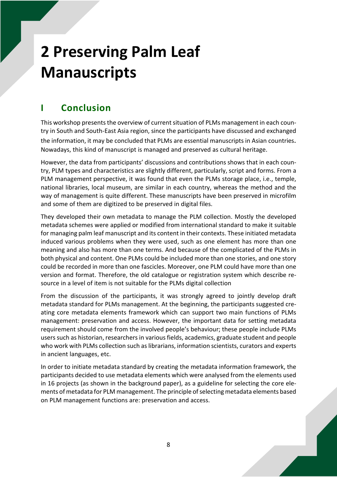# <span id="page-7-0"></span>**2 Preserving Palm Leaf Manauscripts**

# <span id="page-7-1"></span>**I Conclusion**

This workshop presents the overview of current situation of PLMs management in each country in South and South-East Asia region, since the participants have discussed and exchanged

the information, it may be concluded that PLMs are essential manuscripts in Asian countries. Nowadays, this kind of manuscript is managed and preserved as cultural heritage.

However, the data from participants' discussions and contributions shows that in each country, PLM types and characteristics are slightly different, particularly, script and forms. From a PLM management perspective, it was found that even the PLMs storage place, i.e., temple, national libraries, local museum, are similar in each country, whereas the method and the way of management is quite different. These manuscripts have been preserved in microfilm and some of them are digitized to be preserved in digital files.

They developed their own metadata to manage the PLM collection. Mostly the developed metadata schemes were applied or modified from international standard to make it suitable for managing palm leaf manuscript and its content in their contexts. These initiated metadata induced various problems when they were used, such as one element has more than one meaning and also has more than one terms. And because of the complicated of the PLMs in both physical and content. One PLMs could be included more than one stories, and one story could be recorded in more than one fascicles. Moreover, one PLM could have more than one version and format. Therefore, the old catalogue or registration system which describe resource in a level of item is not suitable for the PLMs digital collection

From the discussion of the participants, it was strongly agreed to jointly develop draft metadata standard for PLMs management. At the beginning, the participants suggested creating core metadata elements framework which can support two main functions of PLMs management: preservation and access. However, the important data for setting metadata requirement should come from the involved people's behaviour; these people include PLMs users such as historian, researchers in various fields, academics, graduate student and people who work with PLMs collection such as librarians, information scientists, curators and experts in ancient languages, etc.

In order to initiate metadata standard by creating the metadata information framework, the participants decided to use metadata elements which were analysed from the elements used in 16 projects (as shown in the background paper), as a guideline for selecting the core elements of metadata for PLM management. The principle of selecting metadata elements based on PLM management functions are: preservation and access.